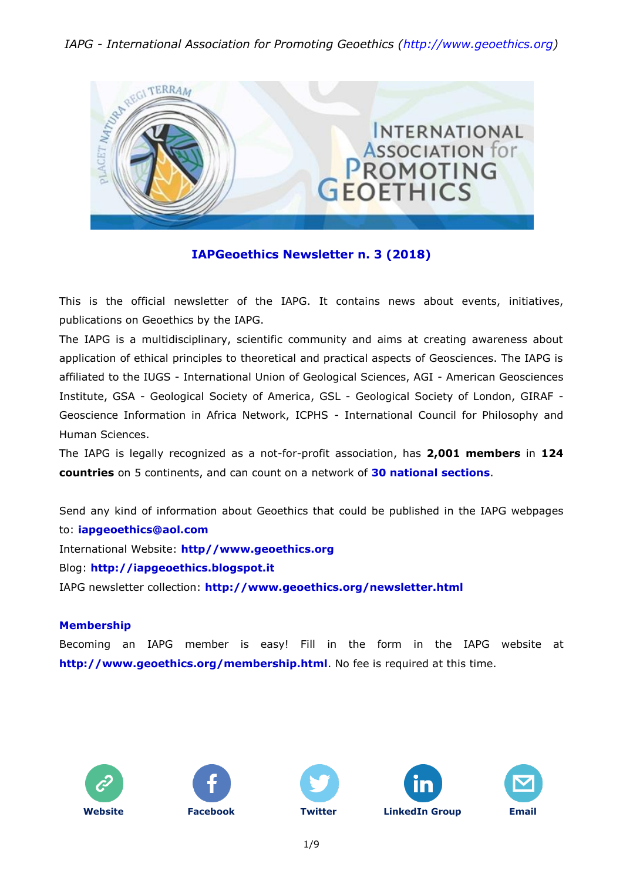### *IAPG - International Association for Promoting Geoethics [\(http://www.geoethics.org\)](http://www.geoethics.org/)*



#### **IAPGeoethics Newsletter n. 3 (2018)**

This is the official newsletter of the IAPG. It contains news about events, initiatives, publications on Geoethics by the IAPG.

The IAPG is a multidisciplinary, scientific community and aims at creating awareness about application of ethical principles to theoretical and practical aspects of Geosciences. The IAPG is affiliated to the IUGS - International Union of Geological Sciences, AGI - American Geosciences Institute, GSA - Geological Society of America, GSL - Geological Society of London, GIRAF - Geoscience Information in Africa Network, ICPHS - International Council for Philosophy and Human Sciences.

The IAPG is legally recognized as a not-for-profit association, has **2,001 members** in **124 countries** on 5 continents, and can count on a network of **30 national [sections](http://www.geoethics.org/sections.html)**.

Send any kind of information about Geoethics that could be published in the IAPG webpages to: **[iapgeoethics@aol.com](mailto:iapgeoethics@aol.com?subject=IAPG%20newsletter)** International Website: **[http//www.geoethics.org](http://www.geoethics.org/)** Blog: **[http://iapgeoethics.blogspot.it](http://iapgeoethics.blogspot.it/)** IAPG newsletter collection: **<http://www.geoethics.org/newsletter.html>**

#### **Membership**

Becoming an IAPG member is easy! Fill in the form in the IAPG website at **<http://www.geoethics.org/membership.html>**. No fee is required at this time.











1/9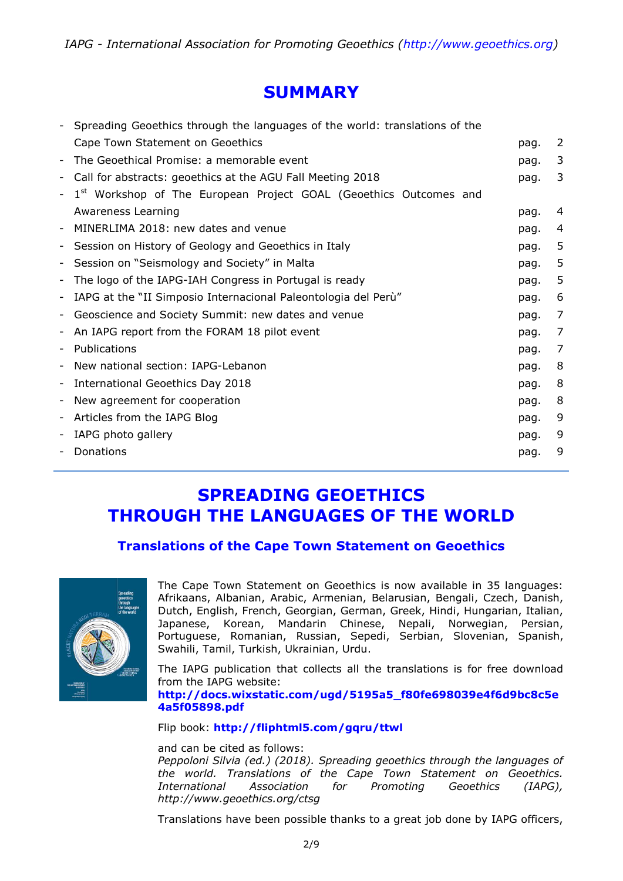### **SUMMARY**

|   | Spreading Geoethics through the languages of the world: translations of the |      |   |
|---|-----------------------------------------------------------------------------|------|---|
|   | Cape Town Statement on Geoethics                                            | pag. | 2 |
|   | The Geoethical Promise: a memorable event                                   | pag. | 3 |
| - | Call for abstracts: geoethics at the AGU Fall Meeting 2018                  | pag. | 3 |
|   | Workshop of The European Project GOAL (Geoethics Outcomes and               |      |   |
|   | Awareness Learning                                                          | pag. | 4 |
|   | MINERLIMA 2018: new dates and venue                                         | pag. | 4 |
| - | Session on History of Geology and Geoethics in Italy                        | pag. | 5 |
| - | Session on "Seismology and Society" in Malta                                | pag. | 5 |
|   | The logo of the IAPG-IAH Congress in Portugal is ready                      | pag. | 5 |
| - | IAPG at the "II Simposio Internacional Paleontologia del Perù"              | pag. | 6 |
| - | Geoscience and Society Summit: new dates and venue                          | pag. | 7 |
| ٠ | An IAPG report from the FORAM 18 pilot event                                | pag. | 7 |
|   | Publications                                                                | pag. | 7 |
| - | New national section: IAPG-Lebanon                                          | pag. | 8 |
| - | International Geoethics Day 2018                                            | pag. | 8 |
| - | New agreement for cooperation                                               | pag. | 8 |
| - | Articles from the IAPG Blog                                                 | pag. | 9 |
| - | IAPG photo gallery                                                          | pag. | 9 |
|   | Donations                                                                   | pag. | 9 |
|   |                                                                             |      |   |

### **SPREADING GEOETHICS THROUGH THE LANGUAGES OF THE WORLD**

### **Translations of the Cape Town Statement on Geoethics**



The Cape Town Statement on Geoethics is now available in 35 languages: Afrikaans, Albanian, Arabic, Armenian, Belarusian, Bengali, Czech, Danish, Dutch, English, French, Georgian, German, Greek, Hindi, Hungarian, Italian, Japanese, Korean, Mandarin Chinese, Nepali, Norwegian, Persian, Portuguese, Romanian, Russian, Sepedi, Serbian, Slovenian, Spanish, Swahili, Tamil, Turkish, Ukrainian, Urdu.

The IAPG publication that collects all the translations is for free download from the IAPG website: **[http://docs.wixstatic.com/ugd/5195a5\\_f80fe698039e4f6d9bc8c5e](http://docs.wixstatic.com/ugd/5195a5_f80fe698039e4f6d9bc8c5e4a5f05898.pdf) [4a5f05898.pdf](http://docs.wixstatic.com/ugd/5195a5_f80fe698039e4f6d9bc8c5e4a5f05898.pdf)**

#### Flip book: **<http://fliphtml5.com/gqru/ttwl>**

and can be cited as follows:

*Peppoloni Silvia (ed.) (2018). Spreading geoethics through the languages of the world. Translations of the Cape Town Statement on Geoethics. International Association for Promoting Geoethics (IAPG), http://www.geoethics.org/ctsg*

Translations have been possible thanks to a great job done by IAPG officers,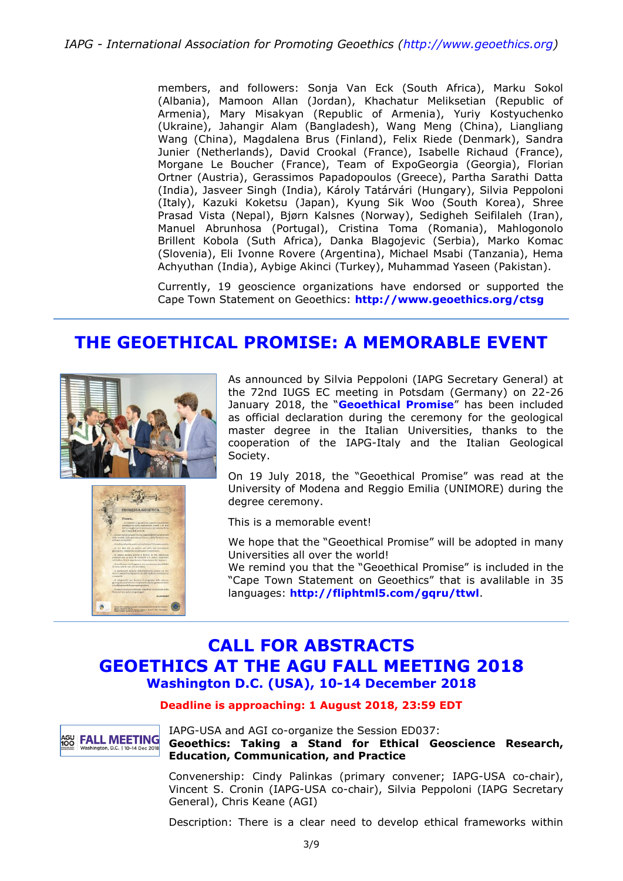members, and followers: Sonja Van Eck (South Africa), Marku Sokol (Albania), Mamoon Allan (Jordan), Khachatur Meliksetian (Republic of Armenia), Mary Misakyan (Republic of Armenia), Yuriy Kostyuchenko (Ukraine), Jahangir Alam (Bangladesh), Wang Meng (China), Liangliang Wang (China), Magdalena Brus (Finland), Felix Riede (Denmark), Sandra Junier (Netherlands), David Crookal (France), Isabelle Richaud (France), Morgane Le Boucher (France), Team of ExpoGeorgia (Georgia), Florian Ortner (Austria), Gerassimos Papadopoulos (Greece), Partha Sarathi Datta (India), Jasveer Singh (India), Károly Tatárvári (Hungary), Silvia Peppoloni (Italy), Kazuki Koketsu (Japan), Kyung Sik Woo (South Korea), Shree Prasad Vista (Nepal), Bjørn Kalsnes (Norway), Sedigheh Seifilaleh (Iran), Manuel Abrunhosa (Portugal), Cristina Toma (Romania), Mahlogonolo Brillent Kobola (Suth Africa), Danka Blagojevic (Serbia), Marko Komac (Slovenia), Eli Ivonne Rovere (Argentina), Michael Msabi (Tanzania), Hema Achyuthan (India), Aybige Akinci (Turkey), Muhammad Yaseen (Pakistan).

Currently, 19 geoscience organizations have endorsed or supported the Cape Town Statement on Geoethics: **<http://www.geoethics.org/ctsg>**

## **THE GEOETHICAL PROMISE: A MEMORABLE EVENT**





As announced by Silvia Peppoloni (IAPG Secretary General) at the 72nd IUGS EC meeting in Potsdam (Germany) on 22-26 January 2018, the "**[Geoethical Promise](http://www.geoethics.org/geopromise)**" has been included as official declaration during the ceremony for the geological master degree in the Italian Universities, thanks to the cooperation of the IAPG-Italy and the Italian Geological Society.

On 19 July 2018, the "Geoethical Promise" was read at the University of Modena and Reggio Emilia (UNIMORE) during the degree ceremony.

This is a memorable event!

We hope that the "Geoethical Promise" will be adopted in many Universities all over the world!

We remind you that the "Geoethical Promise" is included in the "Cape Town Statement on Geoethics" that is avalilable in 35 languages: **<http://fliphtml5.com/gqru/ttwl>**.

### **CALL FOR ABSTRACTS GEOETHICS AT THE AGU FALL MEETING 2018 Washington D.C. (USA), 10-14 December 2018**

#### **Deadline is approaching: 1 August 2018, 23:59 EDT**



IAPG-USA and AGI co-organize the Session ED037: **Geoethics: Taking a Stand for Ethical Geoscience Research, Education, Communication, and Practice**

Convenership: Cindy Palinkas (primary convener; IAPG-USA co-chair), Vincent S. Cronin (IAPG-USA co-chair), Silvia Peppoloni (IAPG Secretary General), Chris Keane (AGI)

Description: There is a clear need to develop ethical frameworks within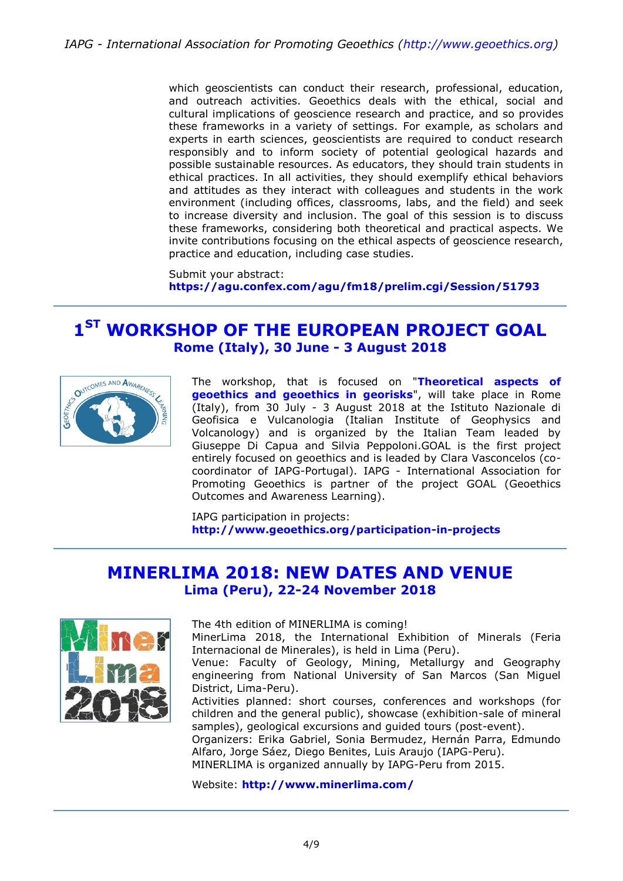which geoscientists can conduct their research, professional, education, and outreach activities. Geoethics deals with the ethical, social and cultural implications of geoscience research and practice, and so provides these frameworks in a variety of settings. For example, as scholars and experts in earth sciences, geoscientists are required to conduct research responsibly and to inform society of potential geological hazards and possible sustainable resources. As educators, they should train students in ethical practices. In all activities, they should exemplify ethical behaviors and attitudes as they interact with colleagues and students in the work environment (including offices, classrooms, labs, and the field) and seek to increase diversity and inclusion. The goal of this session is to discuss these frameworks, considering both theoretical and practical aspects. We invite contributions focusing on the ethical aspects of geoscience research, practice and education, including case studies.

Submit your abstract: **<https://agu.confex.com/agu/fm18/prelim.cgi/Session/51793>**

### **1 ST WORKSHOP OF THE EUROPEAN PROJECT GOAL Rome (Italy), 30 June - 3 August 2018**



The workshop, that is focused on "**Theoretical aspects of geoethics and geoethics in georisks**", will take place in Rome (Italy), from 30 July - 3 August 2018 at the Istituto Nazionale di Geofisica e Vulcanologia (Italian Institute of Geophysics and Volcanology) and is organized by the Italian Team leaded by Giuseppe Di Capua and Silvia Peppoloni.GOAL is the first project entirely focused on geoethics and is leaded by Clara Vasconcelos (cocoordinator of IAPG-Portugal). IAPG - International Association for Promoting Geoethics is partner of the project GOAL (Geoethics Outcomes and Awareness Learning).

IAPG participation in projects: **<http://www.geoethics.org/participation-in-projects>**

### **MINERLIMA 2018: NEW DATES AND VENUE Lima (Peru), 22-24 November 2018**



The 4th edition of MINERLIMA is coming!

MinerLima 2018, the International Exhibition of Minerals (Feria Internacional de Minerales), is held in Lima (Peru).

Venue: Faculty of Geology, Mining, Metallurgy and Geography engineering from National University of San Marcos (San Miguel District, Lima-Peru).

Activities planned: short courses, conferences and workshops (for children and the general public), showcase (exhibition-sale of mineral samples), geological excursions and guided tours (post-event).

Organizers: Erika Gabriel, Sonia Bermudez, Hernán Parra, Edmundo Alfaro, Jorge Sáez, Diego Benites, Luis Araujo (IAPG-Peru). MINERLIMA is organized annually by IAPG-Peru from 2015.

Website: **<http://www.minerlima.com/>**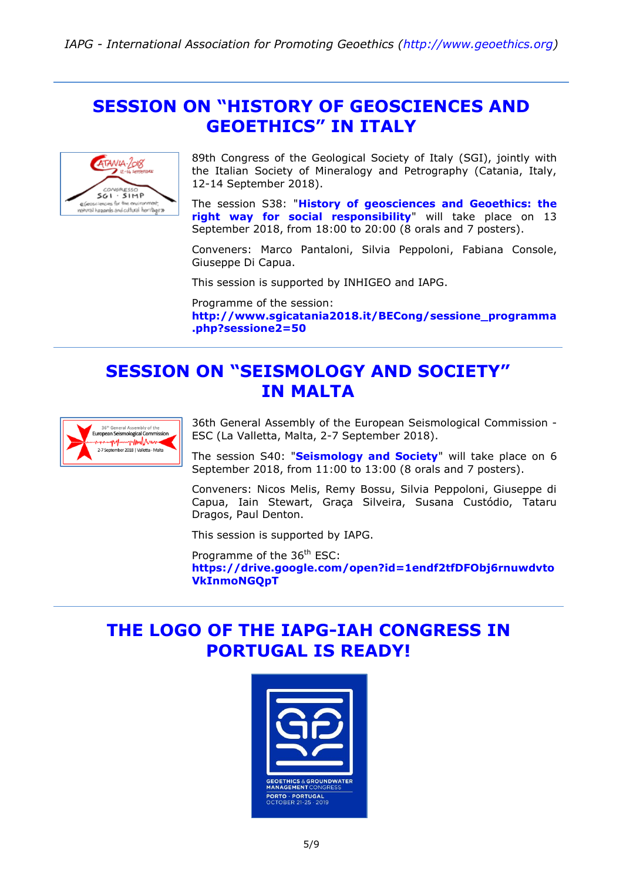### **SESSION ON "HISTORY OF GEOSCIENCES AND GEOETHICS" IN ITALY**



89th Congress of the Geological Society of Italy (SGI), jointly with the Italian Society of Mineralogy and Petrography (Catania, Italy, 12-14 September 2018).

The session S38: "**[History of geosciences and Geoethics: the](http://www.sgicatania2018.it/BECong/sessione_programma.php?sessione2=50)  [right way for social responsibility](http://www.sgicatania2018.it/BECong/sessione_programma.php?sessione2=50)**" will take place on 13 September 2018, from 18:00 to 20:00 (8 orals and 7 posters).

Conveners: Marco Pantaloni, Silvia Peppoloni, Fabiana Console, Giuseppe Di Capua.

This session is supported by INHIGEO and IAPG.

Programme of the session: **[http://www.sgicatania2018.it/BECong/sessione\\_programma](http://www.sgicatania2018.it/BECong/sessione_programma.php?sessione2=50) [.php?sessione2=50](http://www.sgicatania2018.it/BECong/sessione_programma.php?sessione2=50)**

## **SESSION ON "SEISMOLOGY AND SOCIETY" IN MALTA**



36th General Assembly of the European Seismological Commission - ESC (La Valletta, Malta, 2-7 September 2018).

The session S40: "**[Seismology](https://drive.google.com/open?id=1endf2tfDFObj6rnuwdvtoVkInmoNGQpT) and Society**" will take place on 6 September 2018, from 11:00 to 13:00 (8 orals and 7 posters).

Conveners: Nicos Melis, Remy Bossu, Silvia Peppoloni, Giuseppe di Capua, Iain Stewart, Graça Silveira, Susana Custódio, Tataru Dragos, Paul Denton.

This session is supported by IAPG.

Programme of the 36<sup>th</sup> ESC: **[https://drive.google.com/open?id=1endf2tfDFObj6rnuwdvto](https://drive.google.com/open?id=1endf2tfDFObj6rnuwdvtoVkInmoNGQpT) [VkInmoNGQpT](https://drive.google.com/open?id=1endf2tfDFObj6rnuwdvtoVkInmoNGQpT)**

## **THE LOGO OF THE IAPG-IAH CONGRESS IN PORTUGAL IS READY!**

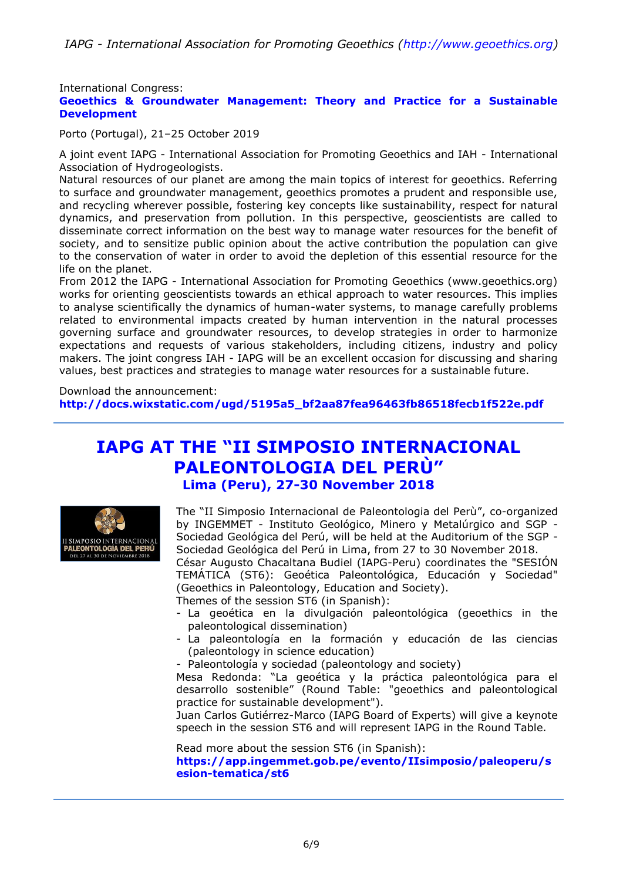International Congress:

#### **Geoethics & Groundwater Management: Theory and Practice for a Sustainable Development**

Porto (Portugal), 21–25 October 2019

A joint event IAPG - International Association for Promoting Geoethics and IAH - International Association of Hydrogeologists.

Natural resources of our planet are among the main topics of interest for geoethics. Referring to surface and groundwater management, geoethics promotes a prudent and responsible use, and recycling wherever possible, fostering key concepts like sustainability, respect for natural dynamics, and preservation from pollution. In this perspective, geoscientists are called to disseminate correct information on the best way to manage water resources for the benefit of society, and to sensitize public opinion about the active contribution the population can give to the conservation of water in order to avoid the depletion of this essential resource for the life on the planet.

From 2012 the IAPG - International Association for Promoting Geoethics (www.geoethics.org) works for orienting geoscientists towards an ethical approach to water resources. This implies to analyse scientifically the dynamics of human-water systems, to manage carefully problems related to environmental impacts created by human intervention in the natural processes governing surface and groundwater resources, to develop strategies in order to harmonize expectations and requests of various stakeholders, including citizens, industry and policy makers. The joint congress IAH - IAPG will be an excellent occasion for discussing and sharing values, best practices and strategies to manage water resources for a sustainable future.

Download the announcement:

**[http://docs.wixstatic.com/ugd/5195a5\\_bf2aa87fea96463fb86518fecb1f522e.pdf](http://docs.wixstatic.com/ugd/5195a5_bf2aa87fea96463fb86518fecb1f522e.pdf)**

### **IAPG AT THE "II SIMPOSIO INTERNACIONAL PALEONTOLOGIA DEL PERÙ" Lima (Peru), 27-30 November 2018**



The "II Simposio Internacional de Paleontologia del Perù", co-organized by INGEMMET - Instituto Geológico, Minero y Metalúrgico and SGP - Sociedad Geológica del Perú, will be held at the Auditorium of the SGP - Sociedad Geológica del Perú in Lima, from 27 to 30 November 2018.

César Augusto Chacaltana Budiel (IAPG-Peru) coordinates the "SESIÓN TEMÁTICA (ST6): Geoética Paleontológica, Educación y Sociedad" (Geoethics in Paleontology, Education and Society).

Themes of the session ST6 (in Spanish):

- La geoética en la divulgación paleontológica (geoethics in the paleontological dissemination)
- La paleontología en la formación y educación de las ciencias (paleontology in science education)
- Paleontología y sociedad (paleontology and society)

Mesa Redonda: "La geoética y la práctica paleontológica para el desarrollo sostenible" (Round Table: "geoethics and paleontological practice for sustainable development").

Juan Carlos Gutiérrez-Marco (IAPG Board of Experts) will give a keynote speech in the session ST6 and will represent IAPG in the Round Table.

Read more about the session ST6 (in Spanish):

**[https://app.ingemmet.gob.pe/evento/IIsimposio/paleoperu/s](https://app.ingemmet.gob.pe/evento/IIsimposio/paleoperu/sesion-tematica/st6) [esion-tematica/st6](https://app.ingemmet.gob.pe/evento/IIsimposio/paleoperu/sesion-tematica/st6)**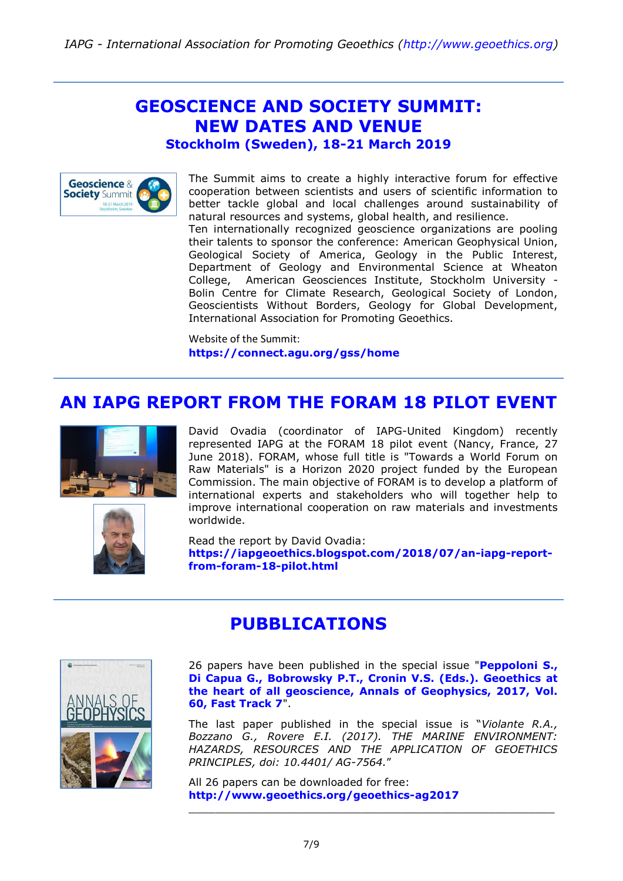# **GEOSCIENCE AND SOCIETY SUMMIT: NEW DATES AND VENUE**

**Stockholm (Sweden), 18-21 March 2019**



The Summit aims to create a highly interactive forum for effective cooperation between scientists and users of scientific information to better tackle global and local challenges around sustainability of natural resources and systems, global health, and resilience. Ten internationally recognized geoscience organizations are pooling their talents to sponsor the conference: American Geophysical Union, Geological Society of America, Geology in the Public Interest, Department of Geology and Environmental Science at Wheaton College, American Geosciences Institute, Stockholm University - Bolin Centre for Climate Research, Geological Society of London, Geoscientists Without Borders, Geology for Global Development, International Association for Promoting Geoethics.

Website of the Summit: **<https://connect.agu.org/gss/home>**

### **AN IAPG REPORT FROM THE FORAM 18 PILOT EVENT**





David Ovadia (coordinator of IAPG-United Kingdom) recently represented IAPG at the FORAM 18 pilot event (Nancy, France, 27 June 2018). FORAM, whose full title is "Towards a World Forum on Raw Materials" is a Horizon 2020 project funded by the European Commission. The main objective of FORAM is to develop a platform of international experts and stakeholders who will together help to improve international cooperation on raw materials and investments worldwide.

Read the report by David Ovadia: **[https://iapgeoethics.blogspot.com/2018/07/an-iapg-report](https://iapgeoethics.blogspot.com/2018/07/an-iapg-report-from-foram-18-pilot.html)[from-foram-18-pilot.html](https://iapgeoethics.blogspot.com/2018/07/an-iapg-report-from-foram-18-pilot.html)**

### **PUBBLICATIONS**



26 papers have been published in the special issue "**[Peppoloni S.,](http://www.geoethics.org/geoethics-ag2017)  [Di Capua G., Bobrowsky P.T., Cronin V.S. \(Eds.\). Geoethics at](http://www.geoethics.org/geoethics-ag2017)  [the heart of all geoscience, Annals of Geophysics, 2017, Vol.](http://www.geoethics.org/geoethics-ag2017)  [60, Fast Track 7](http://www.geoethics.org/geoethics-ag2017)**".

The last paper published in the special issue is "*Violante R.A., Bozzano G., Rovere E.I. (2017). THE MARINE ENVIRONMENT: HAZARDS, RESOURCES AND THE APPLICATION OF GEOETHICS PRINCIPLES, doi: 10.4401/ AG-7564.*"

\_\_\_\_\_\_\_\_\_\_\_\_\_\_\_\_\_\_\_\_\_\_\_\_\_\_\_\_\_\_\_\_\_\_\_\_\_\_\_\_\_\_\_\_\_\_\_\_\_\_\_\_\_\_\_

All 26 papers can be downloaded for free: **<http://www.geoethics.org/geoethics-ag2017>**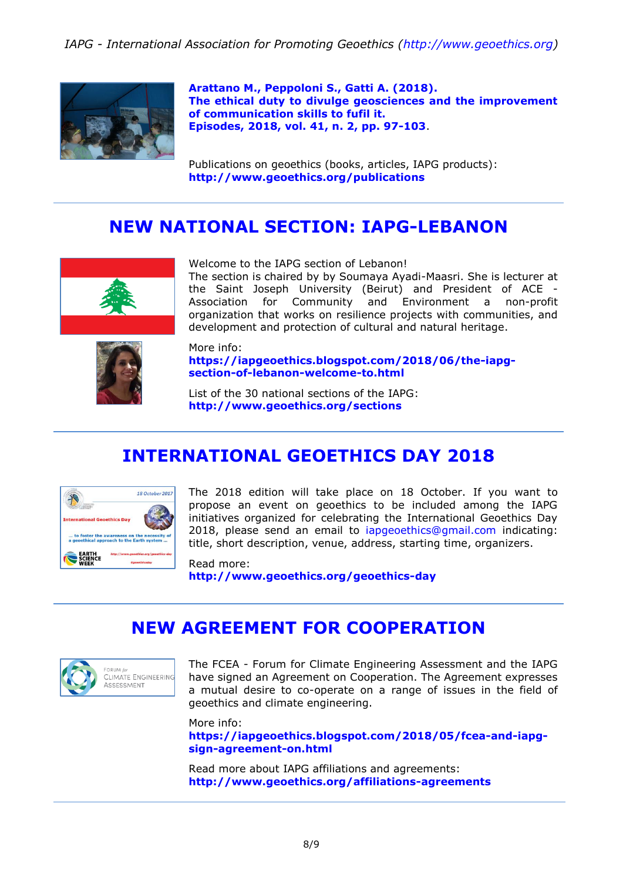*IAPG - International Association for Promoting Geoethics [\(http://www.geoethics.org\)](http://www.geoethics.org/)*



**Arattano [M., Peppoloni S., Gatti A. \(2018\).](http://docs.wixstatic.com/ugd/5195a5_a067fc53791140f1a0ef835da296ecbf.pdf) [The ethical duty to divulge geosciences and the improvement](http://docs.wixstatic.com/ugd/5195a5_a067fc53791140f1a0ef835da296ecbf.pdf)  [of communication skills to fufil it.](http://docs.wixstatic.com/ugd/5195a5_a067fc53791140f1a0ef835da296ecbf.pdf) [Episodes, 2018, vol. 41, n. 2, pp. 97-103](http://docs.wixstatic.com/ugd/5195a5_a067fc53791140f1a0ef835da296ecbf.pdf)**.

Publications on geoethics (books, articles, IAPG products): **<http://www.geoethics.org/publications>**

### **NEW NATIONAL SECTION: IAPG-LEBANON**



Welcome to the IAPG section of Lebanon!

The section is chaired by by Soumaya Ayadi-Maasri. She is lecturer at the Saint Joseph University (Beirut) and President of ACE - Association for Community and Environment a non-profit organization that works on resilience projects with communities, and development and protection of cultural and natural heritage.



More info: **[https://iapgeoethics.blogspot.com/2018/06/the-iapg](https://iapgeoethics.blogspot.com/2018/06/the-iapg-section-of-lebanon-welcome-to.html)[section-of-lebanon-welcome-to.html](https://iapgeoethics.blogspot.com/2018/06/the-iapg-section-of-lebanon-welcome-to.html)**

List of the 30 national sections of the IAPG: **<http://www.geoethics.org/sections>**

# **INTERNATIONAL GEOETHICS DAY 2018**



The 2018 edition will take place on 18 October. If you want to propose an event on geoethics to be included among the IAPG initiatives organized for celebrating the International Geoethics Day 2018, please send an email to [iapgeoethics@gmail.com](mailto:iapgeoethics@gmail.com) indicating: title, short description, venue, address, starting time, organizers.

Read more: **<http://www.geoethics.org/geoethics-day>**

## **NEW AGREEMENT FOR COOPERATION**



The FCEA - Forum for Climate Engineering Assessment and the IAPG have signed an Agreement on Cooperation. The Agreement expresses a mutual desire to co-operate on a range of issues in the field of geoethics and climate engineering.

More info: **[https://iapgeoethics.blogspot.com/2018/05/fcea-and-iapg](https://iapgeoethics.blogspot.com/2018/05/fcea-and-iapg-sign-agreement-on.html)[sign-agreement-on.html](https://iapgeoethics.blogspot.com/2018/05/fcea-and-iapg-sign-agreement-on.html)**

Read more about IAPG affiliations and agreements: **<http://www.geoethics.org/affiliations-agreements>**